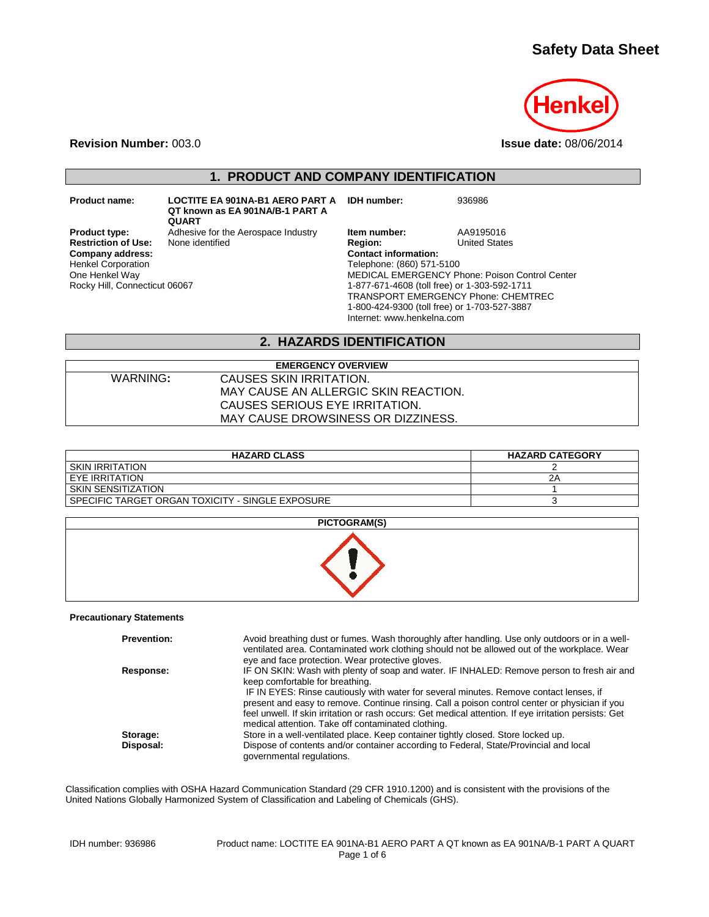# **Safety Data Sheet**



**Revision Number:** 003.0 **Issue date:** 08/06/2014

## **1. PRODUCT AND COMPANY IDENTIFICATION**

**Product name: LOCTITE EA 901NA-B1 AERO PART A IDH number:** 936986 **QT known as EA 901NA/B-1 PART A QUART**

**Restriction of Use:**<br>Company address: Henkel Corporation One Henkel Way Rocky Hill, Connecticut 06067

**Product type:** Adhesive for the Aerospace Industry **Item number:** AA9195016<br> **Restriction of Use:** None identified **Region:** Region: United States **Company address: Contact information:** Telephone: (860) 571-5100 MEDICAL EMERGENCY Phone: Poison Control Center 1-877-671-4608 (toll free) or 1-303-592-1711 TRANSPORT EMERGENCY Phone: CHEMTREC 1-800-424-9300 (toll free) or 1-703-527-3887 Internet: www.henkelna.com

## **2. HAZARDS IDENTIFICATION**

| <b>EMERGENCY OVERVIEW</b>            |
|--------------------------------------|
| CAUSES SKIN IRRITATION.              |
| MAY CAUSE AN ALLERGIC SKIN REACTION. |
| CAUSES SERIOUS EYE IRRITATION.       |
| MAY CAUSE DROWSINESS OR DIZZINESS.   |
|                                      |

| <b>HAZARD CLASS</b>                              | <b>HAZARD CATEGORY</b> |
|--------------------------------------------------|------------------------|
| <b>SKIN IRRITATION</b>                           |                        |
| EYE IRRITATION                                   | 2Α                     |
| SKIN SENSITIZATION                               |                        |
| SPECIFIC TARGET ORGAN TOXICITY - SINGLE EXPOSURE |                        |

| <b>PICTOGRAM(S)</b> |
|---------------------|
|                     |
|                     |

#### **Precautionary Statements**

| <b>Prevention:</b> | Avoid breathing dust or fumes. Wash thoroughly after handling. Use only outdoors or in a well-<br>ventilated area. Contaminated work clothing should not be allowed out of the workplace. Wear<br>eye and face protection. Wear protective gloves.                                                                                                                                                                                                                                        |
|--------------------|-------------------------------------------------------------------------------------------------------------------------------------------------------------------------------------------------------------------------------------------------------------------------------------------------------------------------------------------------------------------------------------------------------------------------------------------------------------------------------------------|
| Response:          | IF ON SKIN: Wash with plenty of soap and water. IF INHALED: Remove person to fresh air and<br>keep comfortable for breathing.<br>IF IN EYES: Rinse cautiously with water for several minutes. Remove contact lenses, if<br>present and easy to remove. Continue rinsing. Call a poison control center or physician if you<br>feel unwell. If skin irritation or rash occurs: Get medical attention. If eye irritation persists: Get<br>medical attention. Take off contaminated clothing. |
| Storage:           | Store in a well-ventilated place. Keep container tightly closed. Store locked up.                                                                                                                                                                                                                                                                                                                                                                                                         |
| Disposal:          | Dispose of contents and/or container according to Federal, State/Provincial and local<br>governmental regulations.                                                                                                                                                                                                                                                                                                                                                                        |

Classification complies with OSHA Hazard Communication Standard (29 CFR 1910.1200) and is consistent with the provisions of the United Nations Globally Harmonized System of Classification and Labeling of Chemicals (GHS).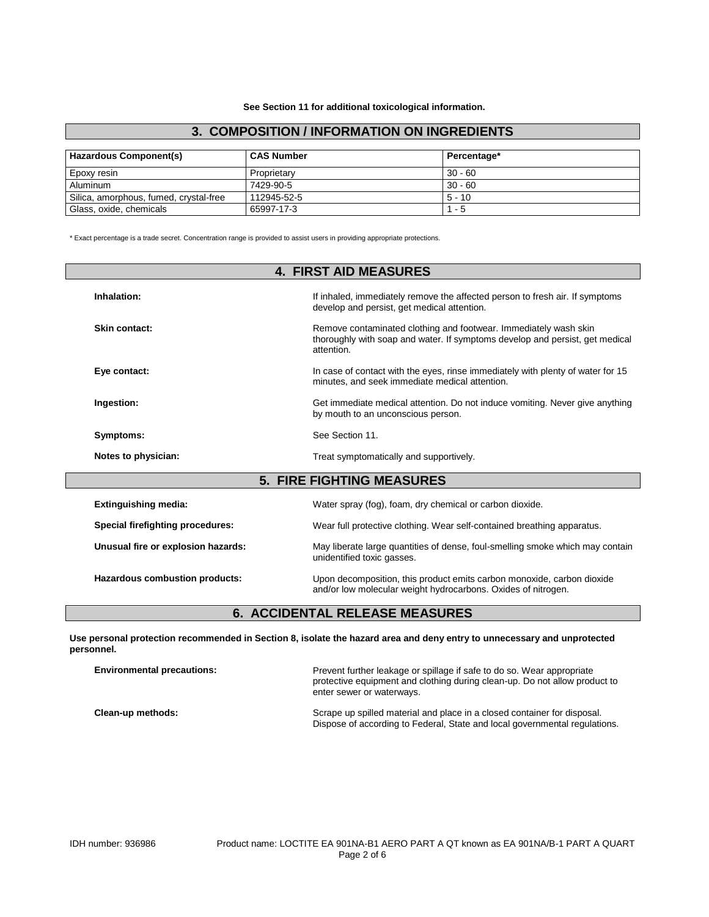### **3. COMPOSITION / INFORMATION ON INGREDIENTS**

| Hazardous Component(s)                 | <b>CAS Number</b> | Percentage* |
|----------------------------------------|-------------------|-------------|
| Epoxy resin                            | Proprietary       | $30 - 60$   |
| Aluminum                               | 7429-90-5         | $30 - 60$   |
| Silica, amorphous, fumed, crystal-free | 112945-52-5       | $5 - 10$    |
| Glass, oxide, chemicals                | 65997-17-3        | $1 - 5$     |

\* Exact percentage is a trade secret. Concentration range is provided to assist users in providing appropriate protections.

| <b>4. FIRST AID MEASURES</b>       |                                                                                                                                                                |  |  |  |
|------------------------------------|----------------------------------------------------------------------------------------------------------------------------------------------------------------|--|--|--|
| Inhalation:                        | If inhaled, immediately remove the affected person to fresh air. If symptoms<br>develop and persist, get medical attention.                                    |  |  |  |
| Skin contact:                      | Remove contaminated clothing and footwear. Immediately wash skin<br>thoroughly with soap and water. If symptoms develop and persist, get medical<br>attention. |  |  |  |
| Eye contact:                       | In case of contact with the eyes, rinse immediately with plenty of water for 15<br>minutes, and seek immediate medical attention.                              |  |  |  |
| Ingestion:                         | Get immediate medical attention. Do not induce vomiting. Never give anything<br>by mouth to an unconscious person.                                             |  |  |  |
| Symptoms:                          | See Section 11.                                                                                                                                                |  |  |  |
| Notes to physician:                | Treat symptomatically and supportively.                                                                                                                        |  |  |  |
|                                    | <b>5. FIRE FIGHTING MEASURES</b>                                                                                                                               |  |  |  |
| <b>Extinguishing media:</b>        | Water spray (fog), foam, dry chemical or carbon dioxide.                                                                                                       |  |  |  |
| Special firefighting procedures:   | Wear full protective clothing. Wear self-contained breathing apparatus.                                                                                        |  |  |  |
| Unusual fire or explosion hazards: | May liberate large quantities of dense, foul-smelling smoke which may contain<br>unidentified toxic gasses.                                                    |  |  |  |
| Hazardous combustion products:     | Upon decomposition, this product emits carbon monoxide, carbon dioxide<br>and/or low molecular weight hydrocarbons. Oxides of nitrogen.                        |  |  |  |

## **6. ACCIDENTAL RELEASE MEASURES**

**Use personal protection recommended in Section 8, isolate the hazard area and deny entry to unnecessary and unprotected personnel.**

| <b>Environmental precautions:</b> | Prevent further leakage or spillage if safe to do so. Wear appropriate<br>protective equipment and clothing during clean-up. Do not allow product to<br>enter sewer or waterways. |  |
|-----------------------------------|-----------------------------------------------------------------------------------------------------------------------------------------------------------------------------------|--|
| Clean-up methods:                 | Scrape up spilled material and place in a closed container for disposal.<br>Dispose of according to Federal, State and local governmental regulations.                            |  |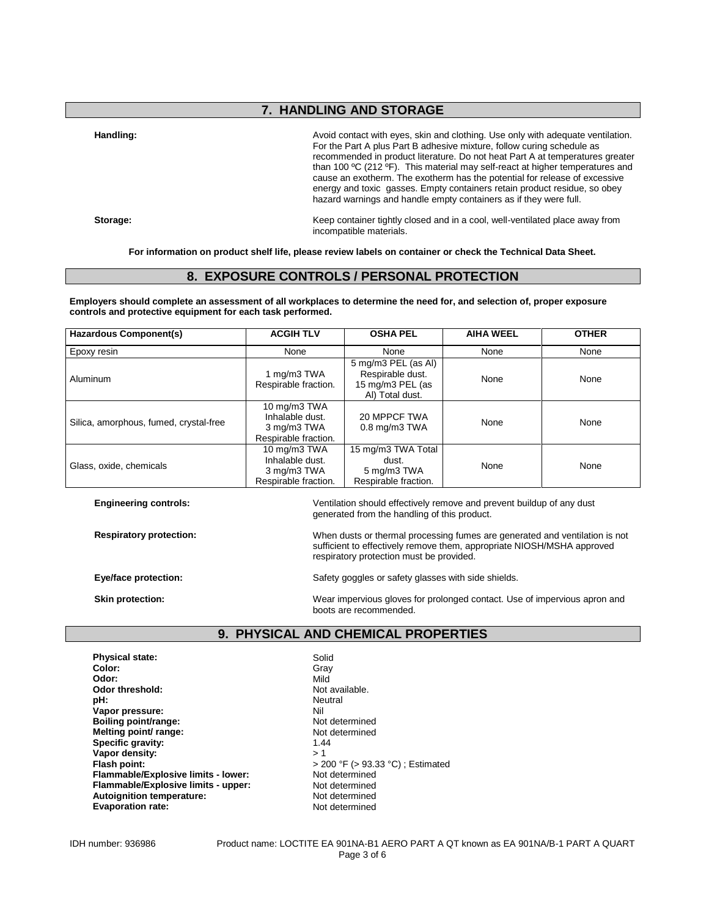## **7. HANDLING AND STORAGE**

Handling: **Handling: Avoid contact with eyes, skin and clothing. Use only with adequate ventilation.** For the Part A plus Part B adhesive mixture, follow curing schedule as recommended in product literature. Do not heat Part A at temperatures greater than 100 ºC (212 ºF). This material may self-react at higher temperatures and cause an exotherm. The exotherm has the potential for release of excessive energy and toxic gasses. Empty containers retain product residue, so obey hazard warnings and handle empty containers as if they were full.

**Storage:** Keep container tightly closed and in a cool, well-ventilated place away from incompatible materials.

**For information on product shelf life, please review labels on container or check the Technical Data Sheet.**

### **8. EXPOSURE CONTROLS / PERSONAL PROTECTION**

**Employers should complete an assessment of all workplaces to determine the need for, and selection of, proper exposure controls and protective equipment for each task performed.**

| <b>Hazardous Component(s)</b>          | <b>ACGIH TLV</b><br><b>OSHA PEL</b>                                    |                                                                                | <b>AIHA WEEL</b> | <b>OTHER</b> |
|----------------------------------------|------------------------------------------------------------------------|--------------------------------------------------------------------------------|------------------|--------------|
| Epoxy resin                            | None                                                                   | None                                                                           | None             | None         |
| Aluminum                               | 1 mg/m3 TWA<br>Respirable fraction.                                    | 5 mg/m3 PEL (as Al)<br>Respirable dust.<br>15 mg/m3 PEL (as<br>AI) Total dust. | None             | None         |
| Silica, amorphous, fumed, crystal-free | 10 mg/m3 TWA<br>Inhalable dust.<br>3 mg/m3 TWA<br>Respirable fraction. | 20 MPPCF TWA<br>None<br>$0.8$ mg/m $3$ TWA                                     |                  | None         |
| Glass, oxide, chemicals                | 10 mg/m3 TWA<br>Inhalable dust.<br>3 mg/m3 TWA<br>Respirable fraction. | 15 mg/m3 TWA Total<br>dust.<br>5 mg/m3 TWA<br>Respirable fraction.             | None             | None         |

**Engineering controls:**  $\blacksquare$  Ventilation should effectively remove and prevent buildup of any dust generated from the handling of this product.

**Respiratory protection:** When dusts or thermal processing fumes are generated and ventilation is not sufficient to effectively remove them, appropriate NIOSH/MSHA approved respiratory protection must be provided.

**Eye/face protection:** Safety goggles or safety glasses with side shields.

**Skin protection:** Wear impervious gloves for prolonged contact. Use of impervious apron and boots are recommended.

## **9. PHYSICAL AND CHEMICAL PROPERTIES**

**Physical state:** Solid Color: Solid Color: Solid Color: Solid Color: Solid Color: Solid Color: Solid Color: Solid Color: Solid Color: Solid Color: Solid Color: Solid Color: Solid Color: Solid Color: Solid Color: Solid Col **Color:** Gray **Odor:** Mild **Odor threshold:** Not available.<br> **pH:** Neutral **Vapor pressure:** Nil<br> **Boiling point/range:** Network and Not determined **Boiling point/range: Melting point/ range:** Not determined<br> **Specific gravity:** 1.44 Specific gravity: **Vapor density:**  $>1$ <br> **Flash point:**  $>2$ **Flammable/Explosive limits - lower:** Not determined<br> **Flammable/Explosive limits - upper:** Not determined **Flammable/Explosive limits - upper: Autoignition temperature:** Not determined<br> **Evaporation rate:** Not determined **Evaporation rate:** 

**Neutral**<br>Nil **Flash point:** > 200 °F (> 93.33 °C) ; Estimated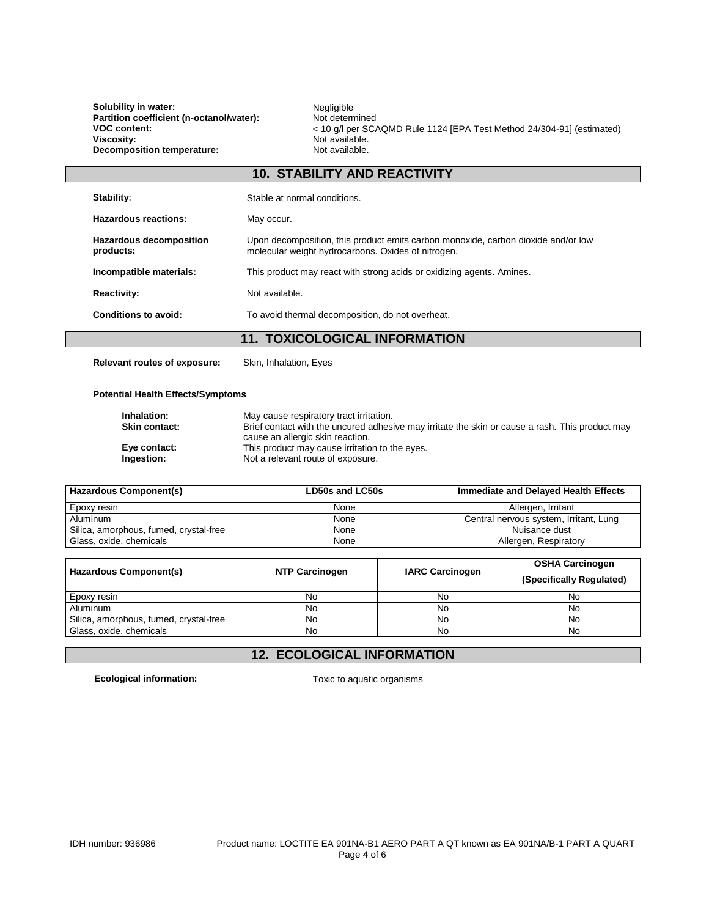**Solubility in water:** Negligible<br> **Partition coefficient (n-octanol/water):** Not determined Partition coefficient (n-octanol/water):<br>VOC content: **Decomposition temperature:** 

**VOC content:** (A COLLACT MILLY).<br>
VOC content: < 10 g/l per SCAQMD Rule 1124 [EPA Test Method 24/304-91] (estimated)<br>
Viscosity: Not available. Not available.<br>Not available.

| <b>10. STABILITY AND REACTIVITY</b>         |                                                                                                                                         |  |  |
|---------------------------------------------|-----------------------------------------------------------------------------------------------------------------------------------------|--|--|
| Stability:                                  | Stable at normal conditions.                                                                                                            |  |  |
| Hazardous reactions:                        | May occur.                                                                                                                              |  |  |
| <b>Hazardous decomposition</b><br>products: | Upon decomposition, this product emits carbon monoxide, carbon dioxide and/or low<br>molecular weight hydrocarbons. Oxides of nitrogen. |  |  |
| Incompatible materials:                     | This product may react with strong acids or oxidizing agents. Amines.                                                                   |  |  |
| <b>Reactivity:</b>                          | Not available.                                                                                                                          |  |  |
| Conditions to avoid:                        | To avoid thermal decomposition, do not overheat.                                                                                        |  |  |
|                                             |                                                                                                                                         |  |  |

### **11. TOXICOLOGICAL INFORMATION**

**Relevant routes of exposure:** Skin, Inhalation, Eyes

#### **Potential Health Effects/Symptoms**

| Inhalation:          | May cause respiratory tract irritation.                                                         |
|----------------------|-------------------------------------------------------------------------------------------------|
| <b>Skin contact:</b> | Brief contact with the uncured adhesive may irritate the skin or cause a rash. This product may |
|                      | cause an allergic skin reaction.                                                                |
| Eye contact:         | This product may cause irritation to the eyes.                                                  |
| Ingestion:           | Not a relevant route of exposure.                                                               |

| Hazardous Component(s)                 | LD50s and LC50s | Immediate and Delayed Health Effects   |
|----------------------------------------|-----------------|----------------------------------------|
| Epoxy resin                            | None            | Allergen, Irritant                     |
| Aluminum                               | None            | Central nervous system, Irritant, Lung |
| Silica, amorphous, fumed, crystal-free | None            | Nuisance dust                          |
| Glass, oxide, chemicals                | None            | Allergen, Respiratory                  |

| Hazardous Component(s)                 | <b>NTP Carcinogen</b> | <b>IARC Carcinogen</b> | <b>OSHA Carcinogen</b><br>(Specifically Regulated) |
|----------------------------------------|-----------------------|------------------------|----------------------------------------------------|
| Epoxy resin                            | No                    | No                     | No                                                 |
| Aluminum                               | No                    | No                     | No                                                 |
| Silica, amorphous, fumed, crystal-free | No                    | No                     | No                                                 |
| Glass, oxide, chemicals                | No                    | No                     | No                                                 |

## **12. ECOLOGICAL INFORMATION**

**Ecological information:** Toxic to aquatic organisms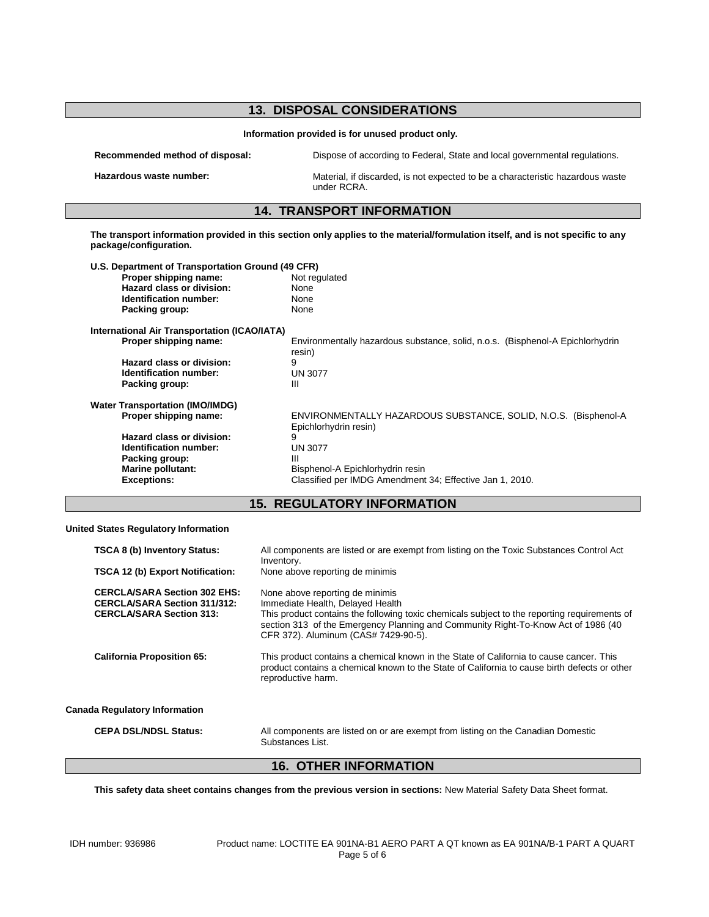| Information provided is for unused product only.<br>Dispose of according to Federal, State and local governmental regulations.<br>Material, if discarded, is not expected to be a characteristic hazardous waste<br>under RCRA.<br><b>14. TRANSPORT INFORMATION</b><br>The transport information provided in this section only applies to the material/formulation itself, and is not specific to any<br>U.S. Department of Transportation Ground (49 CFR)<br>Not regulated<br>None<br>None |
|---------------------------------------------------------------------------------------------------------------------------------------------------------------------------------------------------------------------------------------------------------------------------------------------------------------------------------------------------------------------------------------------------------------------------------------------------------------------------------------------|
|                                                                                                                                                                                                                                                                                                                                                                                                                                                                                             |
|                                                                                                                                                                                                                                                                                                                                                                                                                                                                                             |
|                                                                                                                                                                                                                                                                                                                                                                                                                                                                                             |
|                                                                                                                                                                                                                                                                                                                                                                                                                                                                                             |
|                                                                                                                                                                                                                                                                                                                                                                                                                                                                                             |
|                                                                                                                                                                                                                                                                                                                                                                                                                                                                                             |
|                                                                                                                                                                                                                                                                                                                                                                                                                                                                                             |
|                                                                                                                                                                                                                                                                                                                                                                                                                                                                                             |
|                                                                                                                                                                                                                                                                                                                                                                                                                                                                                             |
| None                                                                                                                                                                                                                                                                                                                                                                                                                                                                                        |
|                                                                                                                                                                                                                                                                                                                                                                                                                                                                                             |
| Environmentally hazardous substance, solid, n.o.s. (Bisphenol-A Epichlorhydrin<br>resin)                                                                                                                                                                                                                                                                                                                                                                                                    |
|                                                                                                                                                                                                                                                                                                                                                                                                                                                                                             |
| <b>UN 3077</b>                                                                                                                                                                                                                                                                                                                                                                                                                                                                              |
|                                                                                                                                                                                                                                                                                                                                                                                                                                                                                             |
|                                                                                                                                                                                                                                                                                                                                                                                                                                                                                             |
| ENVIRONMENTALLY HAZARDOUS SUBSTANCE, SOLID, N.O.S. (Bisphenol-A<br>Epichlorhydrin resin)                                                                                                                                                                                                                                                                                                                                                                                                    |
|                                                                                                                                                                                                                                                                                                                                                                                                                                                                                             |
| <b>UN 3077</b>                                                                                                                                                                                                                                                                                                                                                                                                                                                                              |
|                                                                                                                                                                                                                                                                                                                                                                                                                                                                                             |
| Bisphenol-A Epichlorhydrin resin                                                                                                                                                                                                                                                                                                                                                                                                                                                            |
| Classified per IMDG Amendment 34; Effective Jan 1, 2010.                                                                                                                                                                                                                                                                                                                                                                                                                                    |
| <b>15. REGULATORY INFORMATION</b>                                                                                                                                                                                                                                                                                                                                                                                                                                                           |

#### **United States Regulatory Information**

| <b>TSCA 8 (b) Inventory Status:</b><br>TSCA 12 (b) Export Notification:                                       | All components are listed or are exempt from listing on the Toxic Substances Control Act<br>Inventory.<br>None above reporting de minimis                                                                                                                                                        |  |
|---------------------------------------------------------------------------------------------------------------|--------------------------------------------------------------------------------------------------------------------------------------------------------------------------------------------------------------------------------------------------------------------------------------------------|--|
| <b>CERCLA/SARA Section 302 EHS:</b><br><b>CERCLA/SARA Section 311/312:</b><br><b>CERCLA/SARA Section 313:</b> | None above reporting de minimis<br>Immediate Health, Delayed Health<br>This product contains the following toxic chemicals subject to the reporting requirements of<br>section 313 of the Emergency Planning and Community Right-To-Know Act of 1986 (40<br>CFR 372). Aluminum (CAS# 7429-90-5). |  |
| <b>California Proposition 65:</b>                                                                             | This product contains a chemical known in the State of California to cause cancer. This<br>product contains a chemical known to the State of California to cause birth defects or other<br>reproductive harm.                                                                                    |  |
| <b>Canada Regulatory Information</b>                                                                          |                                                                                                                                                                                                                                                                                                  |  |
| <b>CEPA DSL/NDSL Status:</b>                                                                                  | All components are listed on or are exempt from listing on the Canadian Domestic<br>Substances List.                                                                                                                                                                                             |  |

## **16. OTHER INFORMATION**

**This safety data sheet contains changes from the previous version in sections:** New Material Safety Data Sheet format.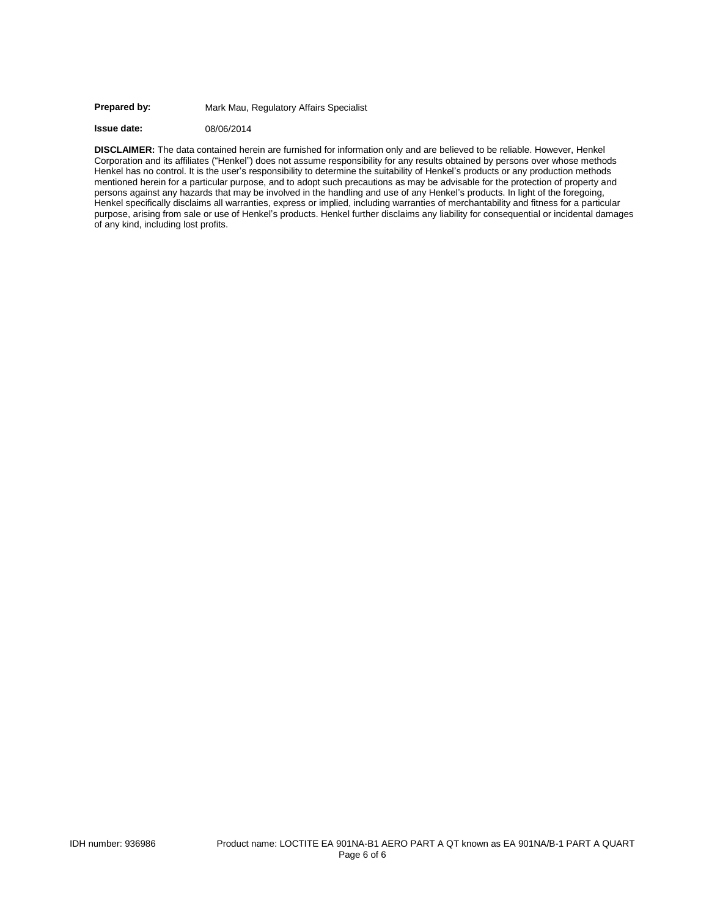#### Prepared by: Mark Mau, Regulatory Affairs Specialist

**Issue date:** 08/06/2014

**DISCLAIMER:** The data contained herein are furnished for information only and are believed to be reliable. However, Henkel Corporation and its affiliates ("Henkel") does not assume responsibility for any results obtained by persons over whose methods Henkel has no control. It is the user's responsibility to determine the suitability of Henkel's products or any production methods mentioned herein for a particular purpose, and to adopt such precautions as may be advisable for the protection of property and persons against any hazards that may be involved in the handling and use of any Henkel's products. In light of the foregoing, Henkel specifically disclaims all warranties, express or implied, including warranties of merchantability and fitness for a particular purpose, arising from sale or use of Henkel's products. Henkel further disclaims any liability for consequential or incidental damages of any kind, including lost profits.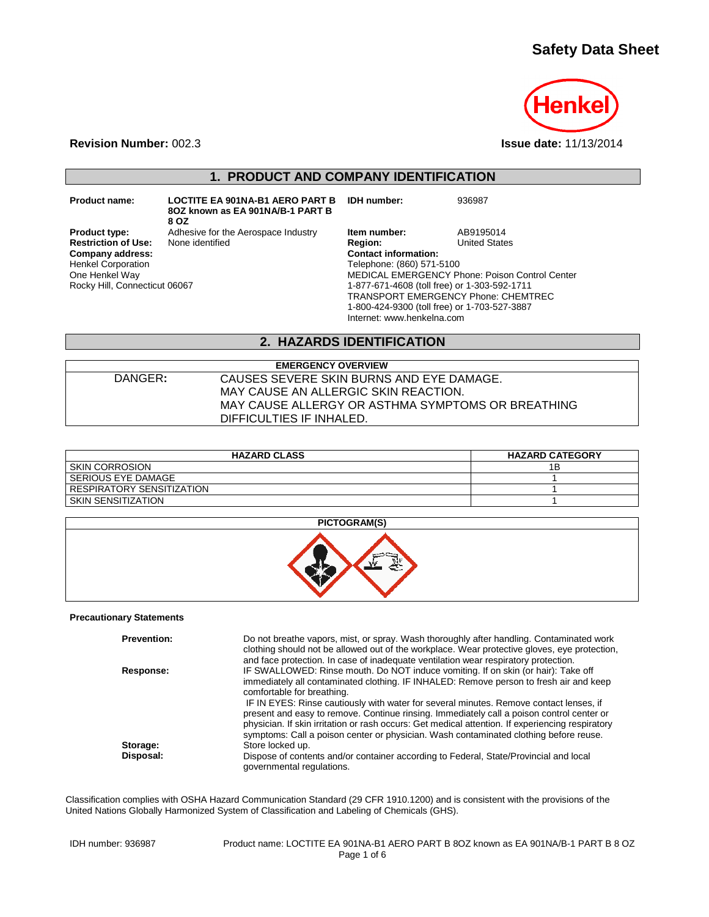# **Safety Data Sheet**



**Revision Number:** 002.3 **Issue date:** 11/13/2014

**1. PRODUCT AND COMPANY IDENTIFICATION**

**Product name: LOCTITE EA 901NA-B1 AERO PART B IDH number:** 936987 **8OZ known as EA 901NA/B-1 PART B** 

**8 OZ Restriction of Use:**<br>Company address: Henkel Corporation One Henkel Way Rocky Hill, Connecticut 06067

**Product type:** Adhesive for the Aerospace Industry **Item number:** AB9195014<br> **Restriction of Use:** None identified **Region:** Region: United States

**Company address: Contact information:** Telephone: (860) 571-5100 MEDICAL EMERGENCY Phone: Poison Control Center 1-877-671-4608 (toll free) or 1-303-592-1711 TRANSPORT EMERGENCY Phone: CHEMTREC 1-800-424-9300 (toll free) or 1-703-527-3887 Internet: www.henkelna.com

### **2. HAZARDS IDENTIFICATION**

**EMERGENCY OVERVIEW** DANGER**:** CAUSES SEVERE SKIN BURNS AND EYE DAMAGE. MAY CAUSE AN ALLERGIC SKIN REACTION. MAY CAUSE ALLERGY OR ASTHMA SYMPTOMS OR BREATHING DIFFICULTIES IF INHALED.

| <b>HAZARD CLASS</b>         | <b>HAZARD CATEGORY</b> |
|-----------------------------|------------------------|
| <b>SKIN CORROSION</b>       | 1B                     |
| I SERIOUS EYE DAMAGE        |                        |
| I RESPIRATORY SENSITIZATION |                        |
| I SKIN SENSITIZATION        |                        |

#### **PICTOGRAM(S)**



#### **Precautionary Statements**

| <b>Prevention:</b> | Do not breathe vapors, mist, or spray. Wash thoroughly after handling. Contaminated work<br>clothing should not be allowed out of the workplace. Wear protective gloves, eye protection,<br>and face protection. In case of inadequate ventilation wear respiratory protection.                                                                                                                                                                                                                                                                                                               |
|--------------------|-----------------------------------------------------------------------------------------------------------------------------------------------------------------------------------------------------------------------------------------------------------------------------------------------------------------------------------------------------------------------------------------------------------------------------------------------------------------------------------------------------------------------------------------------------------------------------------------------|
| Response:          | IF SWALLOWED: Rinse mouth. Do NOT induce vomiting. If on skin (or hair): Take off<br>immediately all contaminated clothing. IF INHALED: Remove person to fresh air and keep<br>comfortable for breathing.<br>IF IN EYES: Rinse cautiously with water for several minutes. Remove contact lenses, if<br>present and easy to remove. Continue rinsing. Immediately call a poison control center or<br>physician. If skin irritation or rash occurs: Get medical attention. If experiencing respiratory<br>symptoms: Call a poison center or physician. Wash contaminated clothing before reuse. |
| Storage:           | Store locked up.                                                                                                                                                                                                                                                                                                                                                                                                                                                                                                                                                                              |
| Disposal:          | Dispose of contents and/or container according to Federal, State/Provincial and local<br>governmental regulations.                                                                                                                                                                                                                                                                                                                                                                                                                                                                            |

Classification complies with OSHA Hazard Communication Standard (29 CFR 1910.1200) and is consistent with the provisions of the United Nations Globally Harmonized System of Classification and Labeling of Chemicals (GHS).

| IDH number: 936987 |  |
|--------------------|--|
|--------------------|--|

Product name: LOCTITE EA 901NA-B1 AERO PART B 8OZ known as EA 901NA/B-1 PART B 8 OZ Page 1 of 6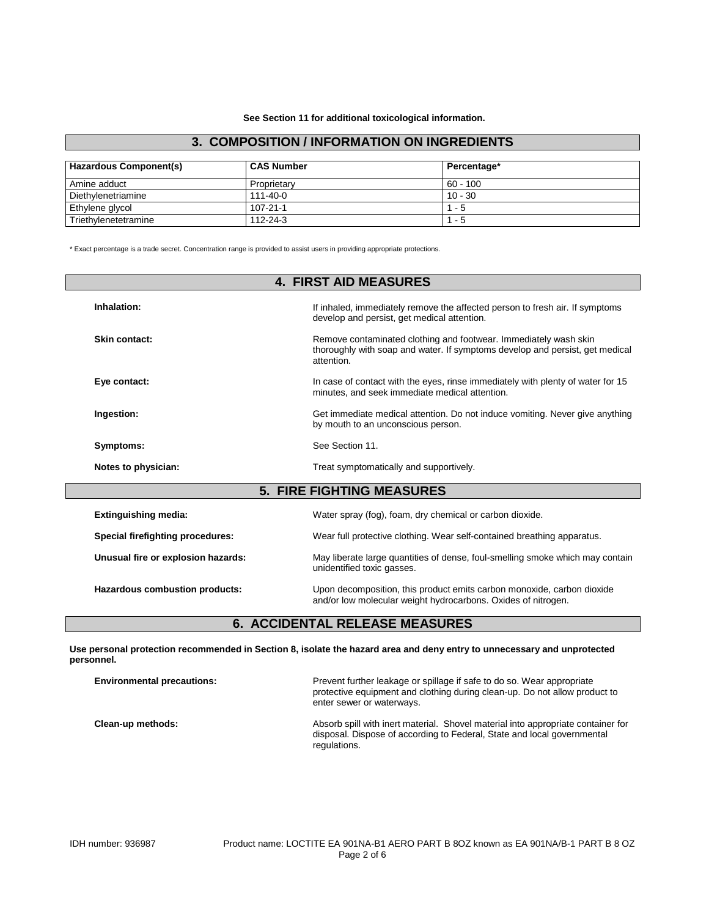**See Section 11 for additional toxicological information.**

### **3. COMPOSITION / INFORMATION ON INGREDIENTS**

| <b>Hazardous Component(s)</b> | <b>CAS Number</b> | Percentage* |
|-------------------------------|-------------------|-------------|
| Amine adduct                  | Proprietary       | $60 - 100$  |
| Diethylenetriamine            | $111 - 40 - 0$    | $10 - 30$   |
| Ethylene glycol               | $107 - 21 - 1$    | $1 - 5$     |
| Triethylenetetramine          | 112-24-3          | $1 - 5$     |

\* Exact percentage is a trade secret. Concentration range is provided to assist users in providing appropriate protections.

| <b>4. FIRST AID MEASURES</b>       |                                                                                                                                                                |  |
|------------------------------------|----------------------------------------------------------------------------------------------------------------------------------------------------------------|--|
| Inhalation:                        | If inhaled, immediately remove the affected person to fresh air. If symptoms<br>develop and persist, get medical attention.                                    |  |
| Skin contact:                      | Remove contaminated clothing and footwear. Immediately wash skin<br>thoroughly with soap and water. If symptoms develop and persist, get medical<br>attention. |  |
| Eye contact:                       | In case of contact with the eyes, rinse immediately with plenty of water for 15<br>minutes, and seek immediate medical attention.                              |  |
| Ingestion:                         | Get immediate medical attention. Do not induce vomiting. Never give anything<br>by mouth to an unconscious person.                                             |  |
| Symptoms:                          | See Section 11.                                                                                                                                                |  |
| Notes to physician:                | Treat symptomatically and supportively.                                                                                                                        |  |
| <b>5. FIRE FIGHTING MEASURES</b>   |                                                                                                                                                                |  |
| <b>Extinguishing media:</b>        | Water spray (fog), foam, dry chemical or carbon dioxide.                                                                                                       |  |
| Special firefighting procedures:   | Wear full protective clothing. Wear self-contained breathing apparatus.                                                                                        |  |
| Unusual fire or explosion hazards: | May liberate large quantities of dense, foul-smelling smoke which may contain<br>unidentified toxic gasses.                                                    |  |
| Hazardous combustion products:     | Upon decomposition, this product emits carbon monoxide, carbon dioxide<br>and/or low molecular weight hydrocarbons. Oxides of nitrogen.                        |  |

# **6. ACCIDENTAL RELEASE MEASURES**

**Use personal protection recommended in Section 8, isolate the hazard area and deny entry to unnecessary and unprotected personnel.**

| <b>Environmental precautions:</b> | Prevent further leakage or spillage if safe to do so. Wear appropriate<br>protective equipment and clothing during clean-up. Do not allow product to<br>enter sewer or waterways. |
|-----------------------------------|-----------------------------------------------------------------------------------------------------------------------------------------------------------------------------------|
| Clean-up methods:                 | Absorb spill with inert material. Shovel material into appropriate container for<br>disposal. Dispose of according to Federal, State and local governmental<br>regulations.       |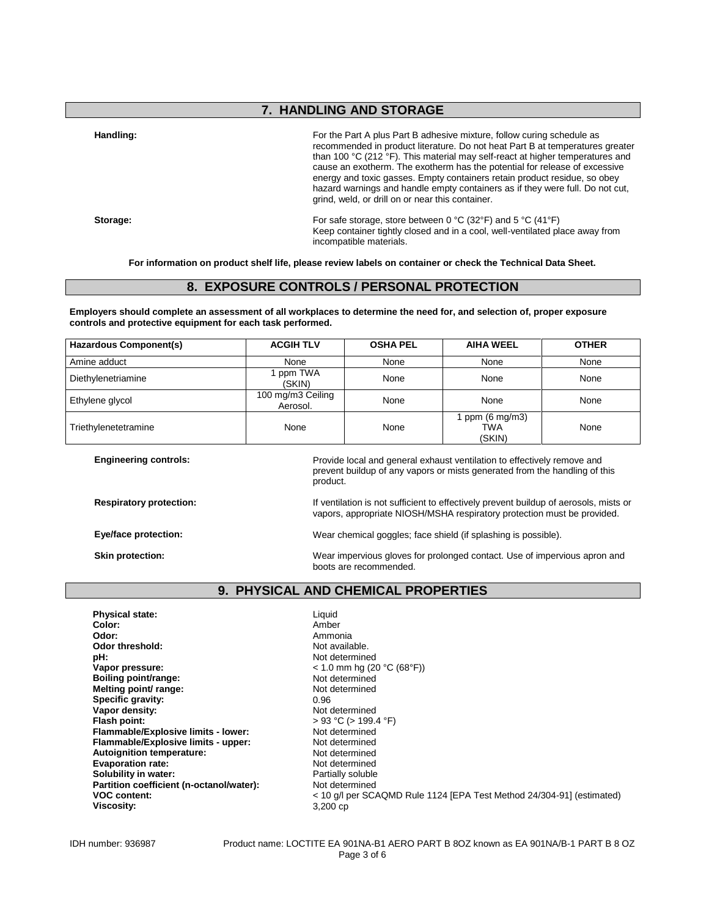## **7. HANDLING AND STORAGE**

**Handling:** For the Part A plus Part B adhesive mixture, follow curing schedule as recommended in product literature. Do not heat Part B at temperatures greater than 100 °C (212 °F). This material may self-react at higher temperatures and cause an exotherm. The exotherm has the potential for release of excessive energy and toxic gasses. Empty containers retain product residue, so obey hazard warnings and handle empty containers as if they were full. Do not cut, grind, weld, or drill on or near this container.

**Storage:** For safe storage, store between 0 °C (32°F) and 5 °C (41°F) Keep container tightly closed and in a cool, well-ventilated place away from incompatible materials.

**For information on product shelf life, please review labels on container or check the Technical Data Sheet.**

### **8. EXPOSURE CONTROLS / PERSONAL PROTECTION**

**Employers should complete an assessment of all workplaces to determine the need for, and selection of, proper exposure controls and protective equipment for each task performed.**

| <b>Hazardous Component(s)</b> | <b>ACGIH TLV</b>              | <b>OSHA PEL</b> | <b>AIHA WEEL</b>                         | <b>OTHER</b> |
|-------------------------------|-------------------------------|-----------------|------------------------------------------|--------------|
| Amine adduct                  | None                          | None            | None                                     | None         |
| Diethylenetriamine            | ppm TWA<br>(SKIN)             | None            | None                                     | None         |
| Ethylene glycol               | 100 mg/m3 Ceiling<br>Aerosol. | None            | None                                     | None         |
| Triethylenetetramine          | None                          | None            | ppm $(6 \text{ mg/m3})$<br>TWA<br>(SKIN) | None         |

| <b>Engineering controls:</b>   | Provide local and general exhaust ventilation to effectively remove and<br>prevent buildup of any vapors or mists generated from the handling of this<br>product. |
|--------------------------------|-------------------------------------------------------------------------------------------------------------------------------------------------------------------|
| <b>Respiratory protection:</b> | If ventilation is not sufficient to effectively prevent buildup of aerosols, mists or<br>vapors, appropriate NIOSH/MSHA respiratory protection must be provided.  |
| Eye/face protection:           | Wear chemical goggles; face shield (if splashing is possible).                                                                                                    |
| Skin protection:               | Wear impervious gloves for prolonged contact. Use of impervious apron and<br>boots are recommended.                                                               |

### **9. PHYSICAL AND CHEMICAL PROPERTIES**

**Physical state:** Liquid Color: Liquid Color: **Color:** Amber **Odor:** Ammonia<br> **Odor threshold:** Contained a Society of Ammonia Odor threshold:<br>pH: **pH:**<br>
Vapor pressure:<br>
Vapor pressure:<br>  $\frac{10}{2}$  and  $\frac{10}{2}$  and  $\frac{10}{2}$  and  $\frac{10}{2}$  and  $\frac{10}{2}$  and  $\frac{10}{2}$ **Boiling point/range:** Not determined<br> **Melting point/ range:** Not determined **Melting point/ range:** Not determined by Not determined by Not determined by Not determined by Not determined by Not determined by Not determined by Not determined by Not determined by Not determined by Not determined by **Specific gravity:**<br>Vapor density: **Flash point:**  $> 93 °C (> 199.4 °F)$ <br>**Flammable/Explosive limits - lower:** Not determined **Flammable/Explosive limits - lower:** Not determined<br> **Flammable/Explosive limits - upper:** Not determined **Flammable/Explosive limits - upper:** Not determined<br> **Autoignition temperature:** Not determined **Autoignition temperature: Evaporation rate:**<br> **Solubility in water:** Not determined<br> **Solubility in water:** Note that the Partially soluble **Solubility in water: Partition coefficient (n-octanol/water):** Not determined<br>VOC content: < 10 g/l per SC/ **Viscosity:** 

**Vapor pressure:** < 1.0 mm hg (20 °C (68°F)) **Not determined VOC content:** < 10 g/l per SCAQMD Rule 1124 [EPA Test Method 24/304-91] (estimated)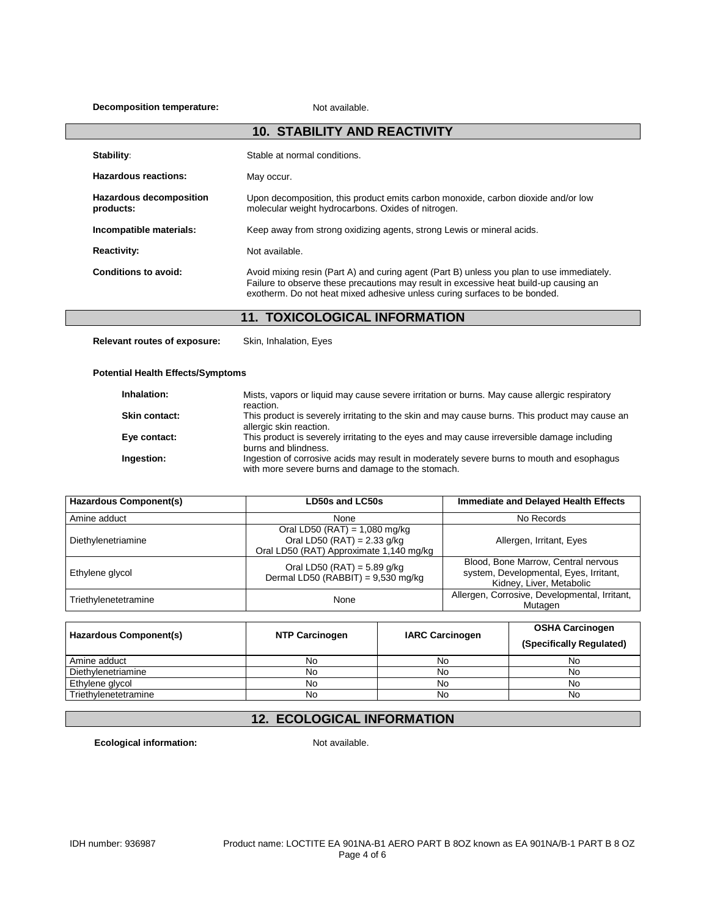#### **Decomposition temperature:** Not available.

| <b>10. STABILITY AND REACTIVITY</b>         |                                                                                                                                                                                                                                                                 |  |
|---------------------------------------------|-----------------------------------------------------------------------------------------------------------------------------------------------------------------------------------------------------------------------------------------------------------------|--|
| Stability:                                  | Stable at normal conditions.                                                                                                                                                                                                                                    |  |
| Hazardous reactions:                        | May occur.                                                                                                                                                                                                                                                      |  |
| <b>Hazardous decomposition</b><br>products: | Upon decomposition, this product emits carbon monoxide, carbon dioxide and/or low<br>molecular weight hydrocarbons. Oxides of nitrogen.                                                                                                                         |  |
| Incompatible materials:                     | Keep away from strong oxidizing agents, strong Lewis or mineral acids.                                                                                                                                                                                          |  |
| <b>Reactivity:</b>                          | Not available.                                                                                                                                                                                                                                                  |  |
| Conditions to avoid:                        | Avoid mixing resin (Part A) and curing agent (Part B) unless you plan to use immediately.<br>Failure to observe these precautions may result in excessive heat build-up causing an<br>exotherm. Do not heat mixed adhesive unless curing surfaces to be bonded. |  |

# **11. TOXICOLOGICAL INFORMATION**

**Relevant routes of exposure:** Skin, Inhalation, Eyes

#### **Potential Health Effects/Symptoms**

| Inhalation:          | Mists, vapors or liquid may cause severe irritation or burns. May cause allergic respiratory<br>reaction.                                      |
|----------------------|------------------------------------------------------------------------------------------------------------------------------------------------|
| <b>Skin contact:</b> | This product is severely irritating to the skin and may cause burns. This product may cause an<br>allergic skin reaction.                      |
| Eye contact:         | This product is severely irritating to the eyes and may cause irreversible damage including<br>burns and blindness.                            |
| Ingestion:           | Ingestion of corrosive acids may result in moderately severe burns to mouth and esophagus<br>with more severe burns and damage to the stomach. |

| <b>Hazardous Component(s)</b> | <b>LD50s and LC50s</b>                                                                                      | <b>Immediate and Delayed Health Effects</b>                                                               |
|-------------------------------|-------------------------------------------------------------------------------------------------------------|-----------------------------------------------------------------------------------------------------------|
| Amine adduct                  | None                                                                                                        | No Records                                                                                                |
| Diethylenetriamine            | Oral LD50 (RAT) = $1,080$ mg/kg<br>Oral LD50 (RAT) = $2.33$ g/kg<br>Oral LD50 (RAT) Approximate 1,140 mg/kg | Allergen, Irritant, Eyes                                                                                  |
| Ethylene glycol               | Oral LD50 (RAT) = $5.89$ g/kg<br>Dermal LD50 (RABBIT) = $9,530$ mg/kg                                       | Blood, Bone Marrow, Central nervous<br>system, Developmental, Eyes, Irritant,<br>Kidney, Liver, Metabolic |
| Triethylenetetramine          | None                                                                                                        | Allergen, Corrosive, Developmental, Irritant,<br>Mutagen                                                  |

| <b>Hazardous Component(s)</b> | <b>NTP Carcinogen</b> | <b>IARC Carcinogen</b> | <b>OSHA Carcinogen</b><br>(Specifically Regulated) |
|-------------------------------|-----------------------|------------------------|----------------------------------------------------|
| Amine adduct                  | No                    | No                     | No                                                 |
| Diethylenetriamine            | No                    | No                     | No                                                 |
| Ethylene glycol               | No                    | No                     | No                                                 |
| Triethylenetetramine          | No                    | No                     | No                                                 |

## **12. ECOLOGICAL INFORMATION**

**Ecological information:** Not available.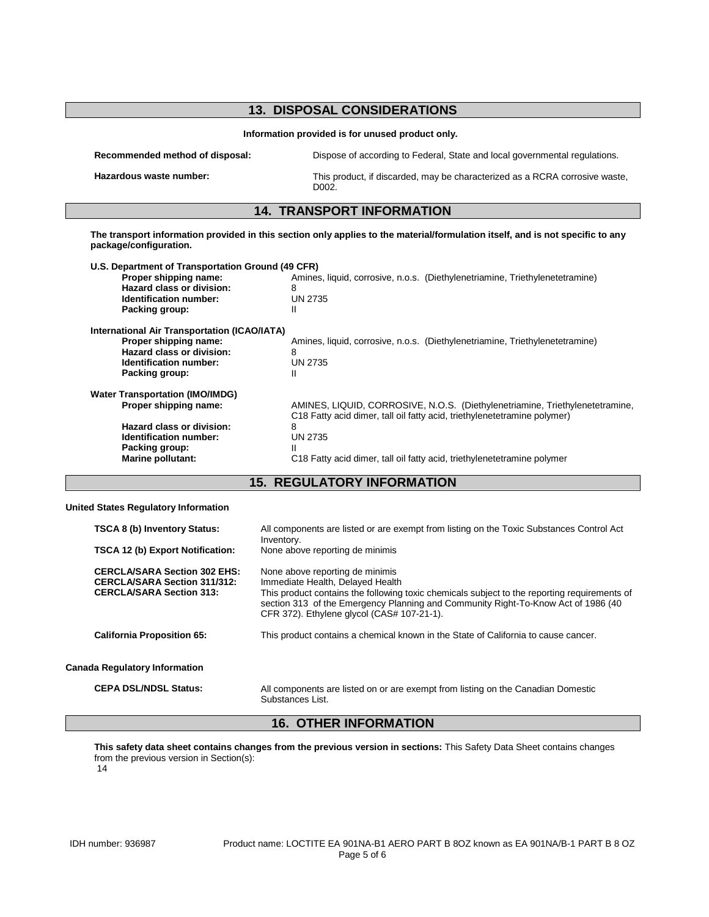| <b>13. DISPOSAL CONSIDERATIONS</b><br>Information provided is for unused product only. |                                                                                                 |  |
|----------------------------------------------------------------------------------------|-------------------------------------------------------------------------------------------------|--|
|                                                                                        |                                                                                                 |  |
| Hazardous waste number:                                                                | This product, if discarded, may be characterized as a RCRA corrosive waste,<br>D <sub>002</sub> |  |
|                                                                                        | <b>14. TRANSPORT INFORMATION</b>                                                                |  |

| U.S. Department of Transportation Ground (49 CFR)<br>Proper shipping name:<br>Hazard class or division:<br><b>Identification number:</b><br>Packing group:           | Amines, liquid, corrosive, n.o.s. (Diethylenetriamine, Triethylenetetramine)<br>8<br><b>UN 2735</b><br>Ш                                                                                                                                            |
|----------------------------------------------------------------------------------------------------------------------------------------------------------------------|-----------------------------------------------------------------------------------------------------------------------------------------------------------------------------------------------------------------------------------------------------|
| International Air Transportation (ICAO/IATA)<br>Proper shipping name:<br>Hazard class or division:<br>Identification number:<br>Packing group:                       | Amines, liquid, corrosive, n.o.s. (Diethylenetriamine, Triethylenetetramine)<br>8<br>UN 2735<br>Ш                                                                                                                                                   |
| <b>Water Transportation (IMO/IMDG)</b><br>Proper shipping name:<br>Hazard class or division:<br>Identification number:<br>Packing group:<br><b>Marine pollutant:</b> | AMINES, LIQUID, CORROSIVE, N.O.S. (Diethylenetriamine, Triethylenetetramine,<br>C18 Fatty acid dimer, tall oil fatty acid, triethylenetetramine polymer)<br>8<br>UN 2735<br>C18 Fatty acid dimer, tall oil fatty acid, triethylenetetramine polymer |

## **15. REGULATORY INFORMATION**

#### **United States Regulatory Information**

| <b>TSCA 8 (b) Inventory Status:</b><br><b>TSCA 12 (b) Export Notification:</b>                                | All components are listed or are exempt from listing on the Toxic Substances Control Act<br>Inventory.<br>None above reporting de minimis                                                                                                                                                              |
|---------------------------------------------------------------------------------------------------------------|--------------------------------------------------------------------------------------------------------------------------------------------------------------------------------------------------------------------------------------------------------------------------------------------------------|
| <b>CERCLA/SARA Section 302 EHS:</b><br><b>CERCLA/SARA Section 311/312:</b><br><b>CERCLA/SARA Section 313:</b> | None above reporting de minimis<br>Immediate Health, Delayed Health<br>This product contains the following toxic chemicals subject to the reporting requirements of<br>section 313 of the Emergency Planning and Community Right-To-Know Act of 1986 (40<br>CFR 372). Ethylene glycol (CAS# 107-21-1). |
| <b>California Proposition 65:</b>                                                                             | This product contains a chemical known in the State of California to cause cancer.                                                                                                                                                                                                                     |
| <b>Canada Regulatory Information</b>                                                                          |                                                                                                                                                                                                                                                                                                        |
| <b>CEPA DSL/NDSL Status:</b>                                                                                  | All components are listed on or are exempt from listing on the Canadian Domestic<br>Substances List.                                                                                                                                                                                                   |

## **16. OTHER INFORMATION**

**This safety data sheet contains changes from the previous version in sections:** This Safety Data Sheet contains changes from the previous version in Section(s):

14